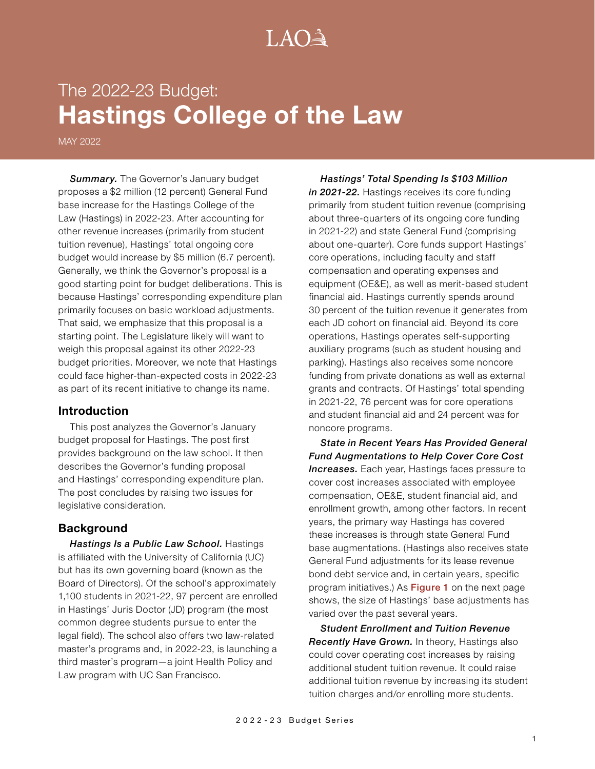# $A() \rightarrow$

# The 2022-23 Budget: **Hastings College of the Law**

MAY 2022

**Summary.** The Governor's January budget proposes a \$2 million (12 percent) General Fund base increase for the Hastings College of the Law (Hastings) in 2022-23. After accounting for other revenue increases (primarily from student tuition revenue), Hastings' total ongoing core budget would increase by \$5 million (6.7 percent). Generally, we think the Governor's proposal is a good starting point for budget deliberations. This is because Hastings' corresponding expenditure plan primarily focuses on basic workload adjustments. That said, we emphasize that this proposal is a starting point. The Legislature likely will want to weigh this proposal against its other 2022-23 budget priorities. Moreover, we note that Hastings could face higher-than-expected costs in 2022-23 as part of its recent initiative to change its name.

#### **Introduction**

This post analyzes the Governor's January budget proposal for Hastings. The post first provides background on the law school. It then describes the Governor's funding proposal and Hastings' corresponding expenditure plan. The post concludes by raising two issues for legislative consideration.

#### **Background**

*Hastings Is a Public Law School.* Hastings is affiliated with the University of California (UC) but has its own governing board (known as the Board of Directors). Of the school's approximately 1,100 students in 2021-22, 97 percent are enrolled in Hastings' Juris Doctor (JD) program (the most common degree students pursue to enter the legal field). The school also offers two law-related master's programs and, in 2022-23, is launching a third master's program—a joint Health Policy and Law program with UC San Francisco.

*Hastings' Total Spending Is \$103 Million*  in 2021-22. Hastings receives its core funding primarily from student tuition revenue (comprising about three-quarters of its ongoing core funding in 2021-22) and state General Fund (comprising about one-quarter). Core funds support Hastings' core operations, including faculty and staff compensation and operating expenses and equipment (OE&E), as well as merit-based student financial aid. Hastings currently spends around 30 percent of the tuition revenue it generates from each JD cohort on financial aid. Beyond its core operations, Hastings operates self-supporting auxiliary programs (such as student housing and parking). Hastings also receives some noncore funding from private donations as well as external grants and contracts. Of Hastings' total spending in 2021-22, 76 percent was for core operations and student financial aid and 24 percent was for noncore programs.

*State in Recent Years Has Provided General Fund Augmentations to Help Cover Core Cost*  **Increases.** Each year, Hastings faces pressure to cover cost increases associated with employee compensation, OE&E, student financial aid, and enrollment growth, among other factors. In recent years, the primary way Hastings has covered these increases is through state General Fund base augmentations. (Hastings also receives state General Fund adjustments for its lease revenue bond debt service and, in certain years, specific program initiatives.) As Figure 1 on the next page shows, the size of Hastings' base adjustments has varied over the past several years.

*Student Enrollment and Tuition Revenue Recently Have Grown.* In theory, Hastings also could cover operating cost increases by raising additional student tuition revenue. It could raise additional tuition revenue by increasing its student tuition charges and/or enrolling more students.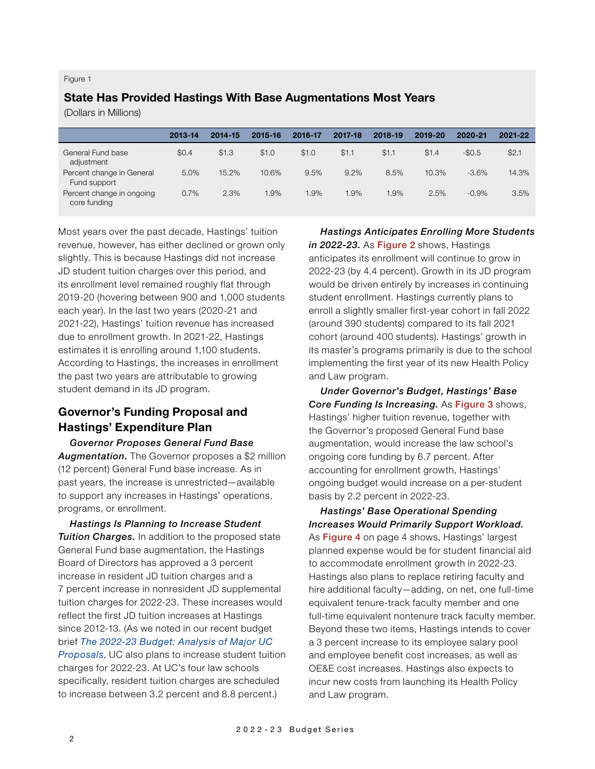#### Figure 1

## **State Has Provided Hastings With Base Augmentations Most Years**

(Dollars in Millions)

|                                           | 2013-14 | 2014-15 | 2015-16 | 2016-17 | 2017-18 | 2018-19 | 2019-20 | 2020-21 | 2021-22 |
|-------------------------------------------|---------|---------|---------|---------|---------|---------|---------|---------|---------|
| General Fund base<br>adjustment           | \$0.4   | \$1.3   | \$1.0   | \$1.0   | \$1.1   | \$1.1   | \$1.4   | $-$0.5$ | \$2.1   |
| Percent change in General<br>Fund support | 5.0%    | 15.2%   | 10.6%   | 9.5%    | 9.2%    | 8.5%    | 10.3%   | $-3.6%$ | 14.3%   |
| Percent change in ongoing<br>core funding | 0.7%    | 2.3%    | $.9\%$  | 1.9%    | 1.9%    | 1.9%    | 2.5%    | $-0.9%$ | 3.5%    |

Most years over the past decade, Hastings' tuition revenue, however, has either declined or grown only slightly. This is because Hastings did not increase JD student tuition charges over this period, and its enrollment level remained roughly flat through 2019-20 (hovering between 900 and 1,000 students each year). In the last two years (2020-21 and 2021-22), Hastings' tuition revenue has increased due to enrollment growth. In 2021-22, Hastings estimates it is enrolling around 1,100 students. According to Hastings, the increases in enrollment the past two years are attributable to growing student demand in its JD program.

# **Governor's Funding Proposal and Hastings' Expenditure Plan**

*Governor Proposes General Fund Base Augmentation.* The Governor proposes a \$2 million (12 percent) General Fund base increase. As in past years, the increase is unrestricted—available to support any increases in Hastings' operations, programs, or enrollment.

*Hastings Is Planning to Increase Student Tuition Charges.* In addition to the proposed state General Fund base augmentation, the Hastings Board of Directors has approved a 3 percent increase in resident JD tuition charges and a 7 percent increase in nonresident JD supplemental tuition charges for 2022-23. These increases would reflect the first JD tuition increases at Hastings since 2012-13. (As we noted in our recent budget brief *[The 2022-23 Budget: Analysis of Major UC](https://lao.ca.gov/Publications/Report/4511)  [Proposals](https://lao.ca.gov/Publications/Report/4511)*, UC also plans to increase student tuition charges for 2022-23. At UC's four law schools specifically, resident tuition charges are scheduled to increase between 3.2 percent and 8.8 percent.)

*Hastings Anticipates Enrolling More Students*  in 2022-23. As Figure 2 shows, Hastings

anticipates its enrollment will continue to grow in 2022-23 (by 4.4 percent). Growth in its JD program would be driven entirely by increases in continuing student enrollment. Hastings currently plans to enroll a slightly smaller first-year cohort in fall 2022 (around 390 students) compared to its fall 2021 cohort (around 400 students). Hastings' growth in its master's programs primarily is due to the school implementing the first year of its new Health Policy and Law program.

*Under Governor's Budget, Hastings' Base Core Funding Is Increasing.* As Figure 3 shows, Hastings' higher tuition revenue, together with the Governor's proposed General Fund base augmentation, would increase the law school's ongoing core funding by 6.7 percent. After accounting for enrollment growth, Hastings' ongoing budget would increase on a per-student basis by 2.2 percent in 2022-23.

*Hastings' Base Operational Spending Increases Would Primarily Support Workload.*  As Figure 4 on page 4 shows, Hastings' largest planned expense would be for student financial aid to accommodate enrollment growth in 2022-23. Hastings also plans to replace retiring faculty and hire additional faculty—adding, on net, one full-time equivalent tenure-track faculty member and one full-time equivalent nontenure track faculty member. Beyond these two items, Hastings intends to cover a 3 percent increase to its employee salary pool and employee benefit cost increases, as well as OE&E cost increases. Hastings also expects to incur new costs from launching its Health Policy and Law program.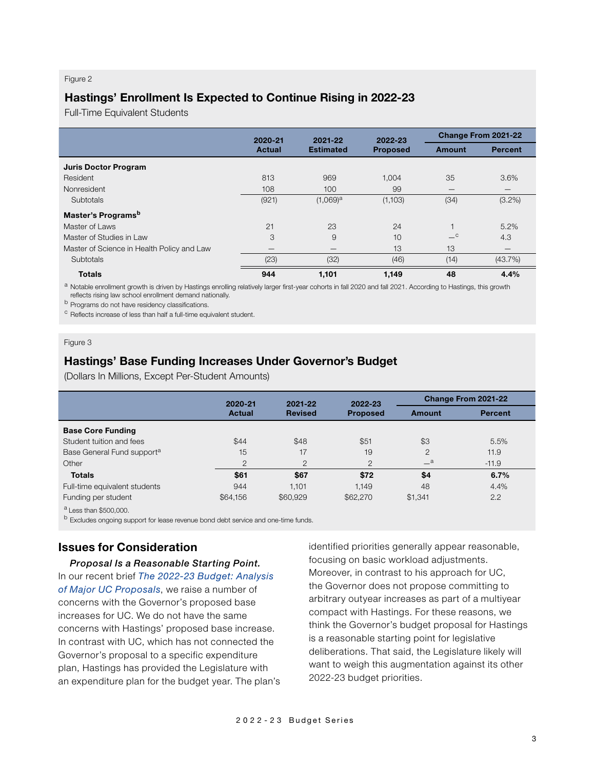#### Figure 2

## **Hastings' Enrollment Is Expected to Continue Rising in 2022-23**

Full-Time Equivalent Students

|                                            | 2020-21       | 2021-22                | 2022-23         | Change From 2021-22 |                |  |
|--------------------------------------------|---------------|------------------------|-----------------|---------------------|----------------|--|
|                                            | <b>Actual</b> | <b>Estimated</b>       | <b>Proposed</b> | Amount              | <b>Percent</b> |  |
| <b>Juris Doctor Program</b>                |               |                        |                 |                     |                |  |
| Resident                                   | 813           | 969                    | 1,004           | 35                  | 3.6%           |  |
| Nonresident                                | 108           | 100                    | 99              |                     |                |  |
| Subtotals                                  | (921)         | $(1,069)$ <sup>a</sup> | (1,103)         | (34)                | $(3.2\%)$      |  |
| Master's Programs <sup>b</sup>             |               |                        |                 |                     |                |  |
| Master of Laws                             | 21            | 23                     | 24              | $\overline{1}$      | 5.2%           |  |
| Master of Studies in Law                   | 3             | 9                      | 10              | $-{}^{\circ}$       | 4.3            |  |
| Master of Science in Health Policy and Law | –             |                        | 13              | 13                  |                |  |
| Subtotals                                  | (23)          | (32)                   | (46)            | (14)                | (43.7%)        |  |
| <b>Totals</b>                              | 944           | 1,101                  | 1,149           | 48                  | 4.4%           |  |

a Notable enrollment growth is driven by Hastings enrolling relatively larger first-year cohorts in fall 2020 and fall 2021. According to Hastings, this growth reflects rising law school enrollment demand nationally.

**b** Programs do not have residency classifications.

<sup>c</sup> Reflects increase of less than half a full-time equivalent student.

#### Figure 3

## **Hastings' Base Funding Increases Under Governor's Budget**

(Dollars In Millions, Except Per-Student Amounts)

|                                                                                                                                                                                                                                                                                                                                                                                    | 2020-21        | 2022-23<br>2021-22 |                 |                | Change From 2021-22 |  |
|------------------------------------------------------------------------------------------------------------------------------------------------------------------------------------------------------------------------------------------------------------------------------------------------------------------------------------------------------------------------------------|----------------|--------------------|-----------------|----------------|---------------------|--|
|                                                                                                                                                                                                                                                                                                                                                                                    | <b>Actual</b>  | <b>Revised</b>     | <b>Proposed</b> | <b>Amount</b>  | <b>Percent</b>      |  |
| <b>Base Core Funding</b>                                                                                                                                                                                                                                                                                                                                                           |                |                    |                 |                |                     |  |
| Student tuition and fees                                                                                                                                                                                                                                                                                                                                                           | \$44           | \$48               | \$51            | \$3            | 5.5%                |  |
| Base General Fund support <sup>a</sup>                                                                                                                                                                                                                                                                                                                                             | 15             | 17                 | 19              | $\overline{2}$ | 11.9                |  |
| Other                                                                                                                                                                                                                                                                                                                                                                              | $\overline{2}$ | $\overline{2}$     | $\overline{2}$  | $-{}^a$        | $-11.9$             |  |
| <b>Totals</b>                                                                                                                                                                                                                                                                                                                                                                      | \$61           | \$67               | \$72            | \$4            | 6.7%                |  |
| Full-time equivalent students                                                                                                                                                                                                                                                                                                                                                      | 944            | 1.101              | 1.149           | 48             | 4.4%                |  |
| Funding per student                                                                                                                                                                                                                                                                                                                                                                | \$64,156       | \$60,929           | \$62,270        | \$1,341        | 2.2                 |  |
| $\alpha$ , $\beta$ , $\beta$ , $\beta$ , $\beta$ , $\beta$ , $\beta$ , $\beta$ , $\beta$ , $\beta$ , $\beta$ , $\beta$ , $\beta$ , $\beta$ , $\beta$ , $\beta$ , $\beta$ , $\beta$ , $\beta$ , $\beta$ , $\beta$ , $\beta$ , $\beta$ , $\beta$ , $\beta$ , $\beta$ , $\beta$ , $\beta$ , $\beta$ , $\beta$ , $\beta$ , $\beta$ , $\beta$ , $\beta$ , $\beta$ , $\beta$ , $\beta$ , |                |                    |                 |                |                     |  |

 $^{\prime}$  Less than \$500,000.

b Excludes ongoing support for lease revenue bond debt service and one-time funds.

## **Issues for Consideration**

*Proposal Is a Reasonable Starting Point.*  In our recent brief *[The 2022-23 Budget: Analysis](https://lao.ca.gov/Publications/Report/4511)  [of Major UC Proposals](https://lao.ca.gov/Publications/Report/4511)*, we raise a number of concerns with the Governor's proposed base increases for UC. We do not have the same concerns with Hastings' proposed base increase. In contrast with UC, which has not connected the Governor's proposal to a specific expenditure plan, Hastings has provided the Legislature with an expenditure plan for the budget year. The plan's identified priorities generally appear reasonable, focusing on basic workload adjustments. Moreover, in contrast to his approach for UC, the Governor does not propose committing to arbitrary outyear increases as part of a multiyear compact with Hastings. For these reasons, we think the Governor's budget proposal for Hastings is a reasonable starting point for legislative deliberations. That said, the Legislature likely will want to weigh this augmentation against its other 2022-23 budget priorities.